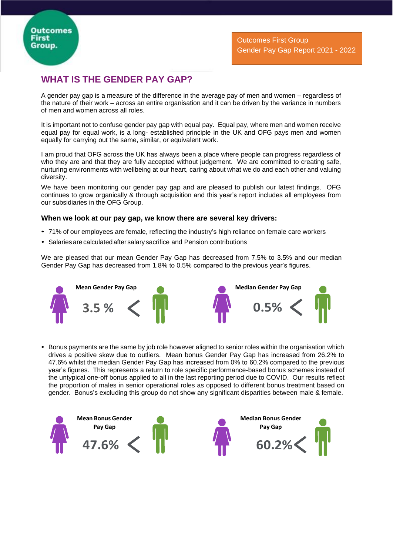## **WHAT IS THE GENDER PAY GAP?**

A gender pay gap is a measure of the difference in the average pay of men and women – regardless of the nature of their work – across an entire organisation and it can be driven by the variance in numbers of men and women across all roles.

It is important not to confuse gender pay gap with equal pay. Equal pay, where men and women receive equal pay for equal work, is a long- established principle in the UK and OFG pays men and women equally for carrying out the same, similar, or equivalent work.

I am proud that OFG across the UK has always been a place where people can progress regardless of who they are and that they are fully accepted without judgement. We are committed to creating safe, nurturing environments with wellbeing at our heart, caring about what we do and each other and valuing diversity.

We have been monitoring our gender pay gap and are pleased to publish our latest findings. OFG continues to grow organically & through acquisition and this year's report includes all employees from our subsidiaries in the OFG Group.

## **When we look at our pay gap, we know there are several key drivers:**

- 71% of our employees are female, reflecting the industry's high reliance on female care workers
- Salaries are calculated after salary sacrifice and Pension contributions

We are pleased that our mean Gender Pay Gap has decreased from 7.5% to 3.5% and our median Gender Pay Gap has decreased from 1.8% to 0.5% compared to the previous year's figures.



• Bonus payments are the same by job role however aligned to senior roles within the organisation which drives a positive skew due to outliers. Mean bonus Gender Pay Gap has increased from 26.2% to 47.6% whilst the median Gender Pay Gap has increased from 0% to 60.2% compared to the previous year's figures. This represents a return to role specific performance-based bonus schemes instead of the untypical one-off bonus applied to all in the last reporting period due to COVID. Our results reflect the proportion of males in senior operational roles as opposed to different bonus treatment based on gender. Bonus's excluding this group do not show any significant disparities between male & female.